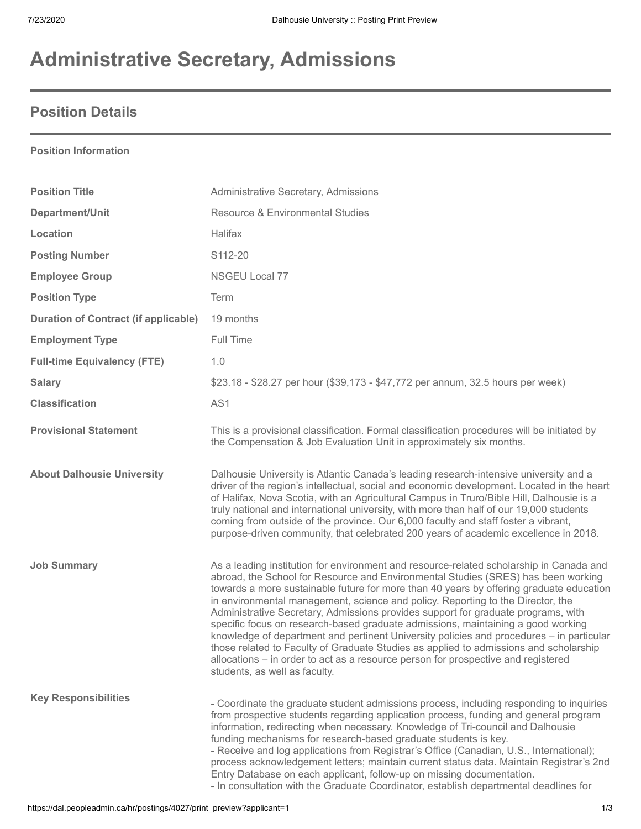# **Administrative Secretary, Admissions**

## **Position Details**

#### **Position Information**

| <b>Position Title</b>                       | Administrative Secretary, Admissions                                                                                                                                                                                                                                                                                                                                                                                                                                                                                                                                                                                                                                                                                                                                                                                                           |
|---------------------------------------------|------------------------------------------------------------------------------------------------------------------------------------------------------------------------------------------------------------------------------------------------------------------------------------------------------------------------------------------------------------------------------------------------------------------------------------------------------------------------------------------------------------------------------------------------------------------------------------------------------------------------------------------------------------------------------------------------------------------------------------------------------------------------------------------------------------------------------------------------|
| Department/Unit                             | <b>Resource &amp; Environmental Studies</b>                                                                                                                                                                                                                                                                                                                                                                                                                                                                                                                                                                                                                                                                                                                                                                                                    |
| Location                                    | Halifax                                                                                                                                                                                                                                                                                                                                                                                                                                                                                                                                                                                                                                                                                                                                                                                                                                        |
| <b>Posting Number</b>                       | S112-20                                                                                                                                                                                                                                                                                                                                                                                                                                                                                                                                                                                                                                                                                                                                                                                                                                        |
| <b>Employee Group</b>                       | <b>NSGEU Local 77</b>                                                                                                                                                                                                                                                                                                                                                                                                                                                                                                                                                                                                                                                                                                                                                                                                                          |
| <b>Position Type</b>                        | Term                                                                                                                                                                                                                                                                                                                                                                                                                                                                                                                                                                                                                                                                                                                                                                                                                                           |
| <b>Duration of Contract (if applicable)</b> | 19 months                                                                                                                                                                                                                                                                                                                                                                                                                                                                                                                                                                                                                                                                                                                                                                                                                                      |
| <b>Employment Type</b>                      | Full Time                                                                                                                                                                                                                                                                                                                                                                                                                                                                                                                                                                                                                                                                                                                                                                                                                                      |
| <b>Full-time Equivalency (FTE)</b>          | 1.0                                                                                                                                                                                                                                                                                                                                                                                                                                                                                                                                                                                                                                                                                                                                                                                                                                            |
| <b>Salary</b>                               | \$23.18 - \$28.27 per hour (\$39,173 - \$47,772 per annum, 32.5 hours per week)                                                                                                                                                                                                                                                                                                                                                                                                                                                                                                                                                                                                                                                                                                                                                                |
| <b>Classification</b>                       | AS1                                                                                                                                                                                                                                                                                                                                                                                                                                                                                                                                                                                                                                                                                                                                                                                                                                            |
| <b>Provisional Statement</b>                | This is a provisional classification. Formal classification procedures will be initiated by<br>the Compensation & Job Evaluation Unit in approximately six months.                                                                                                                                                                                                                                                                                                                                                                                                                                                                                                                                                                                                                                                                             |
| <b>About Dalhousie University</b>           | Dalhousie University is Atlantic Canada's leading research-intensive university and a<br>driver of the region's intellectual, social and economic development. Located in the heart<br>of Halifax, Nova Scotia, with an Agricultural Campus in Truro/Bible Hill, Dalhousie is a<br>truly national and international university, with more than half of our 19,000 students<br>coming from outside of the province. Our 6,000 faculty and staff foster a vibrant,<br>purpose-driven community, that celebrated 200 years of academic excellence in 2018.                                                                                                                                                                                                                                                                                        |
| <b>Job Summary</b>                          | As a leading institution for environment and resource-related scholarship in Canada and<br>abroad, the School for Resource and Environmental Studies (SRES) has been working<br>towards a more sustainable future for more than 40 years by offering graduate education<br>in environmental management, science and policy. Reporting to the Director, the<br>Administrative Secretary, Admissions provides support for graduate programs, with<br>specific focus on research-based graduate admissions, maintaining a good working<br>knowledge of department and pertinent University policies and procedures - in particular<br>those related to Faculty of Graduate Studies as applied to admissions and scholarship<br>allocations – in order to act as a resource person for prospective and registered<br>students, as well as faculty. |
| <b>Key Responsibilities</b>                 | - Coordinate the graduate student admissions process, including responding to inquiries<br>from prospective students regarding application process, funding and general program<br>information, redirecting when necessary. Knowledge of Tri-council and Dalhousie<br>funding mechanisms for research-based graduate students is key.<br>- Receive and log applications from Registrar's Office (Canadian, U.S., International);<br>process acknowledgement letters; maintain current status data. Maintain Registrar's 2nd<br>Entry Database on each applicant, follow-up on missing documentation.<br>- In consultation with the Graduate Coordinator, establish departmental deadlines for                                                                                                                                                  |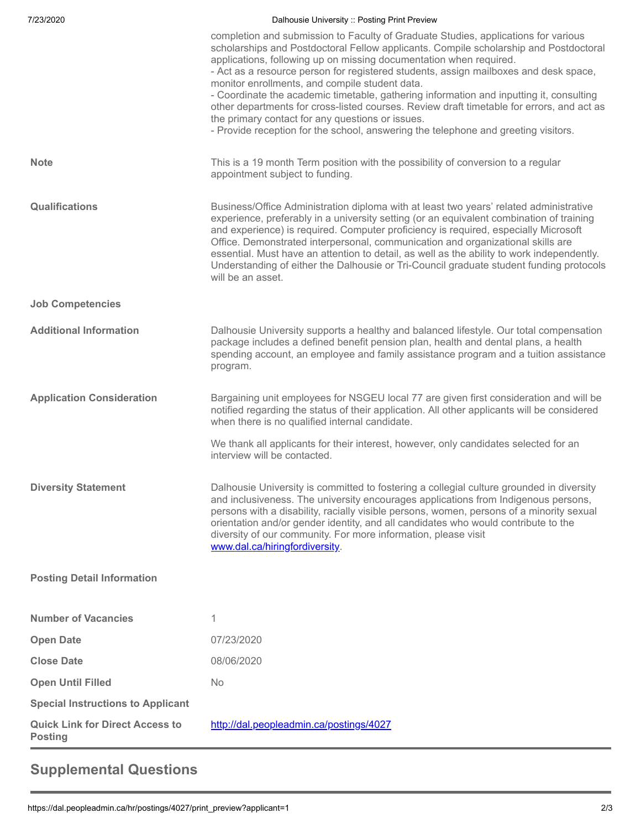| 7/23/2020                                                | Dalhousie University :: Posting Print Preview                                                                                                                                                                                                                                                                                                                                                                                                                                                                                                                                                                                                                                                                                 |
|----------------------------------------------------------|-------------------------------------------------------------------------------------------------------------------------------------------------------------------------------------------------------------------------------------------------------------------------------------------------------------------------------------------------------------------------------------------------------------------------------------------------------------------------------------------------------------------------------------------------------------------------------------------------------------------------------------------------------------------------------------------------------------------------------|
|                                                          | completion and submission to Faculty of Graduate Studies, applications for various<br>scholarships and Postdoctoral Fellow applicants. Compile scholarship and Postdoctoral<br>applications, following up on missing documentation when required.<br>- Act as a resource person for registered students, assign mailboxes and desk space,<br>monitor enrollments, and compile student data.<br>- Coordinate the academic timetable, gathering information and inputting it, consulting<br>other departments for cross-listed courses. Review draft timetable for errors, and act as<br>the primary contact for any questions or issues.<br>- Provide reception for the school, answering the telephone and greeting visitors. |
| <b>Note</b>                                              | This is a 19 month Term position with the possibility of conversion to a regular<br>appointment subject to funding.                                                                                                                                                                                                                                                                                                                                                                                                                                                                                                                                                                                                           |
| Qualifications                                           | Business/Office Administration diploma with at least two years' related administrative<br>experience, preferably in a university setting (or an equivalent combination of training<br>and experience) is required. Computer proficiency is required, especially Microsoft<br>Office. Demonstrated interpersonal, communication and organizational skills are<br>essential. Must have an attention to detail, as well as the ability to work independently.<br>Understanding of either the Dalhousie or Tri-Council graduate student funding protocols<br>will be an asset.                                                                                                                                                    |
| <b>Job Competencies</b>                                  |                                                                                                                                                                                                                                                                                                                                                                                                                                                                                                                                                                                                                                                                                                                               |
| <b>Additional Information</b>                            | Dalhousie University supports a healthy and balanced lifestyle. Our total compensation<br>package includes a defined benefit pension plan, health and dental plans, a health<br>spending account, an employee and family assistance program and a tuition assistance<br>program.                                                                                                                                                                                                                                                                                                                                                                                                                                              |
| <b>Application Consideration</b>                         | Bargaining unit employees for NSGEU local 77 are given first consideration and will be<br>notified regarding the status of their application. All other applicants will be considered<br>when there is no qualified internal candidate.                                                                                                                                                                                                                                                                                                                                                                                                                                                                                       |
|                                                          | We thank all applicants for their interest, however, only candidates selected for an<br>interview will be contacted.                                                                                                                                                                                                                                                                                                                                                                                                                                                                                                                                                                                                          |
| <b>Diversity Statement</b>                               | Dalhousie University is committed to fostering a collegial culture grounded in diversity<br>and inclusiveness. The university encourages applications from Indigenous persons,<br>persons with a disability, racially visible persons, women, persons of a minority sexual<br>orientation and/or gender identity, and all candidates who would contribute to the<br>diversity of our community. For more information, please visit<br>www.dal.ca/hiringfordiversity.                                                                                                                                                                                                                                                          |
| <b>Posting Detail Information</b>                        |                                                                                                                                                                                                                                                                                                                                                                                                                                                                                                                                                                                                                                                                                                                               |
| <b>Number of Vacancies</b>                               | 1                                                                                                                                                                                                                                                                                                                                                                                                                                                                                                                                                                                                                                                                                                                             |
| <b>Open Date</b>                                         | 07/23/2020                                                                                                                                                                                                                                                                                                                                                                                                                                                                                                                                                                                                                                                                                                                    |
| <b>Close Date</b>                                        | 08/06/2020                                                                                                                                                                                                                                                                                                                                                                                                                                                                                                                                                                                                                                                                                                                    |
| <b>Open Until Filled</b>                                 | <b>No</b>                                                                                                                                                                                                                                                                                                                                                                                                                                                                                                                                                                                                                                                                                                                     |
| <b>Special Instructions to Applicant</b>                 |                                                                                                                                                                                                                                                                                                                                                                                                                                                                                                                                                                                                                                                                                                                               |
| <b>Quick Link for Direct Access to</b><br><b>Posting</b> | http://dal.peopleadmin.ca/postings/4027                                                                                                                                                                                                                                                                                                                                                                                                                                                                                                                                                                                                                                                                                       |

# **Supplemental Questions**